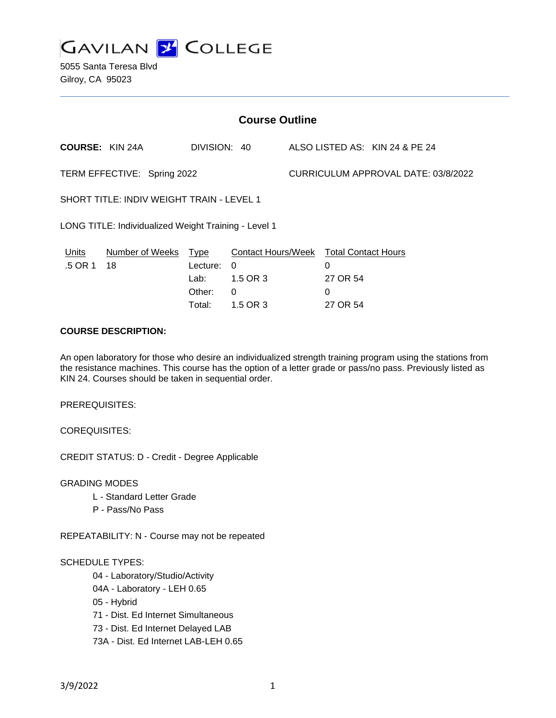**GAVILAN J COLLEGE** 

5055 Santa Teresa Blvd Gilroy, CA 95023

| <b>Course Outline</b>                                |                       |                                                       |                                                             |                                     |                                                              |                                |
|------------------------------------------------------|-----------------------|-------------------------------------------------------|-------------------------------------------------------------|-------------------------------------|--------------------------------------------------------------|--------------------------------|
| <b>COURSE: KIN 24A</b>                               |                       | DIVISION: 40                                          |                                                             |                                     |                                                              | ALSO LISTED AS: KIN 24 & PE 24 |
| TERM EFFECTIVE: Spring 2022                          |                       |                                                       |                                                             | CURRICULUM APPROVAL DATE: 03/8/2022 |                                                              |                                |
| <b>SHORT TITLE: INDIV WEIGHT TRAIN - LEVEL 1</b>     |                       |                                                       |                                                             |                                     |                                                              |                                |
| LONG TITLE: Individualized Weight Training - Level 1 |                       |                                                       |                                                             |                                     |                                                              |                                |
| Units<br>.5 OR 1                                     | Number of Weeks<br>18 | <b>Type</b><br>Lecture:<br>Lab: .<br>Other:<br>Total: | <b>Contact Hours/Week</b><br>0<br>1.5 OR 3<br>0<br>1.5 OR 3 |                                     | <b>Total Contact Hours</b><br>0<br>27 OR 54<br>0<br>27 OR 54 |                                |

## **COURSE DESCRIPTION:**

An open laboratory for those who desire an individualized strength training program using the stations from the resistance machines. This course has the option of a letter grade or pass/no pass. Previously listed as KIN 24. Courses should be taken in sequential order.

PREREQUISITES:

COREQUISITES:

CREDIT STATUS: D - Credit - Degree Applicable

GRADING MODES

- L Standard Letter Grade
- P Pass/No Pass

REPEATABILITY: N - Course may not be repeated

### SCHEDULE TYPES:

04 - Laboratory/Studio/Activity

- 04A Laboratory LEH 0.65
- 05 Hybrid

71 - Dist. Ed Internet Simultaneous

- 73 Dist. Ed Internet Delayed LAB
- 73A Dist. Ed Internet LAB-LEH 0.65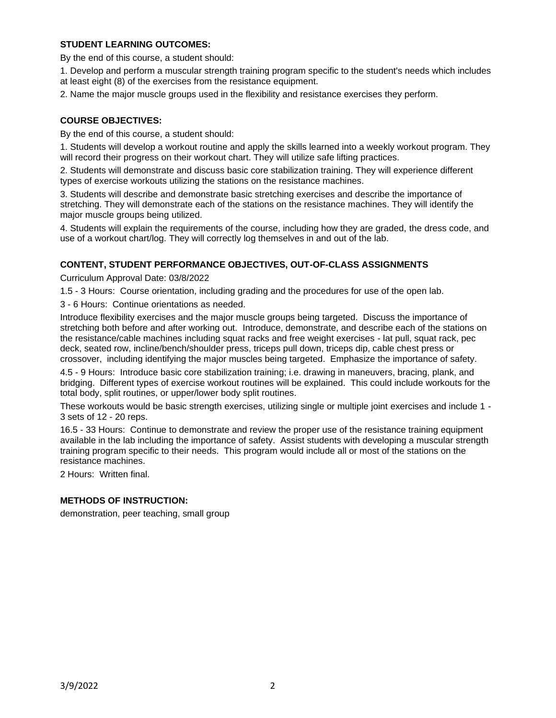### **STUDENT LEARNING OUTCOMES:**

By the end of this course, a student should:

1. Develop and perform a muscular strength training program specific to the student's needs which includes at least eight (8) of the exercises from the resistance equipment.

2. Name the major muscle groups used in the flexibility and resistance exercises they perform.

### **COURSE OBJECTIVES:**

By the end of this course, a student should:

1. Students will develop a workout routine and apply the skills learned into a weekly workout program. They will record their progress on their workout chart. They will utilize safe lifting practices.

2. Students will demonstrate and discuss basic core stabilization training. They will experience different types of exercise workouts utilizing the stations on the resistance machines.

3. Students will describe and demonstrate basic stretching exercises and describe the importance of stretching. They will demonstrate each of the stations on the resistance machines. They will identify the major muscle groups being utilized.

4. Students will explain the requirements of the course, including how they are graded, the dress code, and use of a workout chart/log. They will correctly log themselves in and out of the lab.

### **CONTENT, STUDENT PERFORMANCE OBJECTIVES, OUT-OF-CLASS ASSIGNMENTS**

Curriculum Approval Date: 03/8/2022

1.5 - 3 Hours: Course orientation, including grading and the procedures for use of the open lab.

3 - 6 Hours: Continue orientations as needed.

Introduce flexibility exercises and the major muscle groups being targeted. Discuss the importance of stretching both before and after working out. Introduce, demonstrate, and describe each of the stations on the resistance/cable machines including squat racks and free weight exercises - lat pull, squat rack, pec deck, seated row, incline/bench/shoulder press, triceps pull down, triceps dip, cable chest press or crossover, including identifying the major muscles being targeted. Emphasize the importance of safety.

4.5 - 9 Hours: Introduce basic core stabilization training; i.e. drawing in maneuvers, bracing, plank, and bridging. Different types of exercise workout routines will be explained. This could include workouts for the total body, split routines, or upper/lower body split routines.

These workouts would be basic strength exercises, utilizing single or multiple joint exercises and include 1 - 3 sets of 12 - 20 reps.

16.5 - 33 Hours: Continue to demonstrate and review the proper use of the resistance training equipment available in the lab including the importance of safety. Assist students with developing a muscular strength training program specific to their needs. This program would include all or most of the stations on the resistance machines.

2 Hours: Written final.

#### **METHODS OF INSTRUCTION:**

demonstration, peer teaching, small group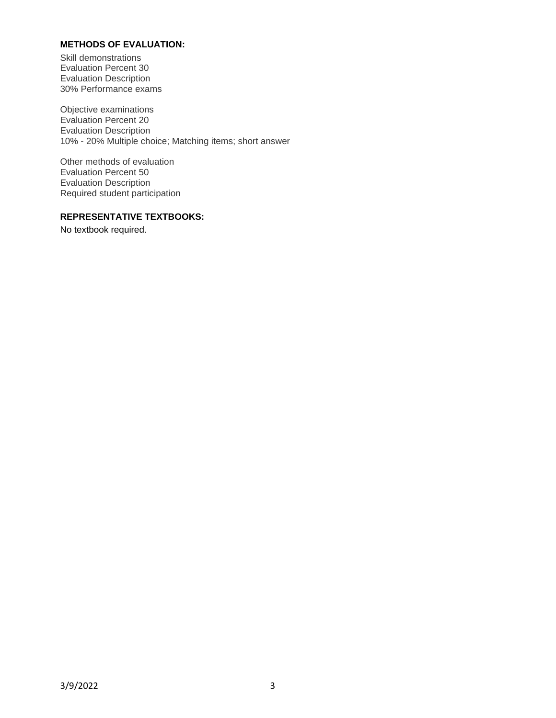## **METHODS OF EVALUATION:**

Skill demonstrations Evaluation Percent 30 Evaluation Description 30% Performance exams

Objective examinations Evaluation Percent 20 Evaluation Description 10% - 20% Multiple choice; Matching items; short answer

Other methods of evaluation Evaluation Percent 50 Evaluation Description Required student participation

## **REPRESENTATIVE TEXTBOOKS:**

No textbook required.